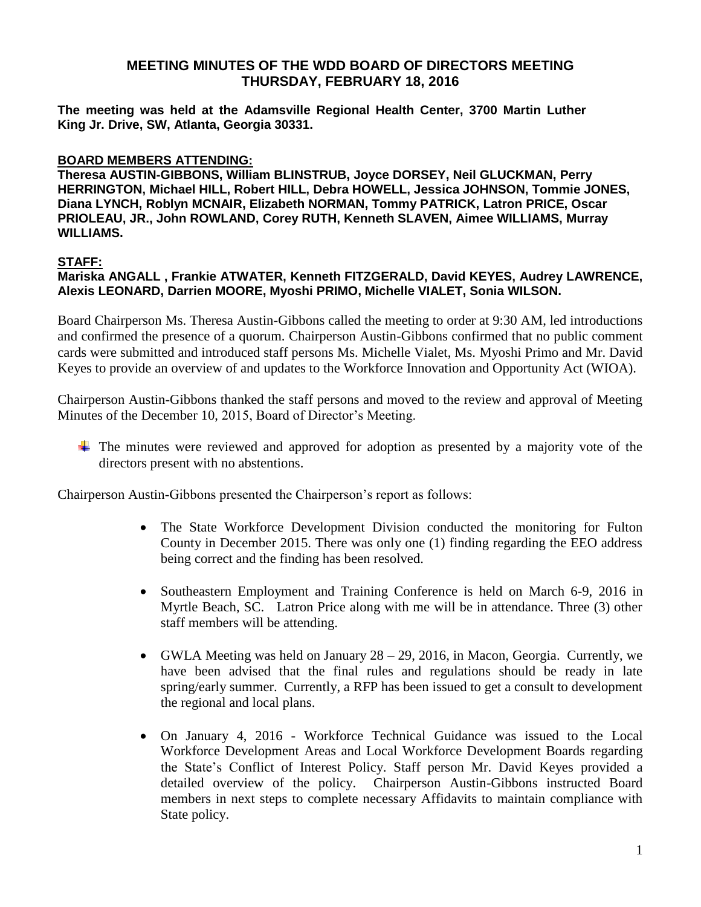**The meeting was held at the Adamsville Regional Health Center, 3700 Martin Luther King Jr. Drive, SW, Atlanta, Georgia 30331.** 

### **BOARD MEMBERS ATTENDING:**

**Theresa AUSTIN-GIBBONS, William BLINSTRUB, Joyce DORSEY, Neil GLUCKMAN, Perry HERRINGTON, Michael HILL, Robert HILL, Debra HOWELL, Jessica JOHNSON, Tommie JONES, Diana LYNCH, Roblyn MCNAIR, Elizabeth NORMAN, Tommy PATRICK, Latron PRICE, Oscar PRIOLEAU, JR., John ROWLAND, Corey RUTH, Kenneth SLAVEN, Aimee WILLIAMS, Murray WILLIAMS.**

### **STAFF:**

**Mariska ANGALL , Frankie ATWATER, Kenneth FITZGERALD, David KEYES, Audrey LAWRENCE, Alexis LEONARD, Darrien MOORE, Myoshi PRIMO, Michelle VIALET, Sonia WILSON.**

Board Chairperson Ms. Theresa Austin-Gibbons called the meeting to order at 9:30 AM, led introductions and confirmed the presence of a quorum. Chairperson Austin-Gibbons confirmed that no public comment cards were submitted and introduced staff persons Ms. Michelle Vialet, Ms. Myoshi Primo and Mr. David Keyes to provide an overview of and updates to the Workforce Innovation and Opportunity Act (WIOA).

Chairperson Austin-Gibbons thanked the staff persons and moved to the review and approval of Meeting Minutes of the December 10, 2015, Board of Director's Meeting.

The minutes were reviewed and approved for adoption as presented by a majority vote of the directors present with no abstentions.

Chairperson Austin-Gibbons presented the Chairperson's report as follows:

- The State Workforce Development Division conducted the monitoring for Fulton County in December 2015. There was only one (1) finding regarding the EEO address being correct and the finding has been resolved.
- Southeastern Employment and Training Conference is held on March 6-9, 2016 in Myrtle Beach, SC. Latron Price along with me will be in attendance. Three (3) other staff members will be attending.
- GWLA Meeting was held on January  $28 29$ , 2016, in Macon, Georgia. Currently, we have been advised that the final rules and regulations should be ready in late spring/early summer. Currently, a RFP has been issued to get a consult to development the regional and local plans.
- On January 4, 2016 Workforce Technical Guidance was issued to the Local Workforce Development Areas and Local Workforce Development Boards regarding the State's Conflict of Interest Policy. Staff person Mr. David Keyes provided a detailed overview of the policy. Chairperson Austin-Gibbons instructed Board members in next steps to complete necessary Affidavits to maintain compliance with State policy.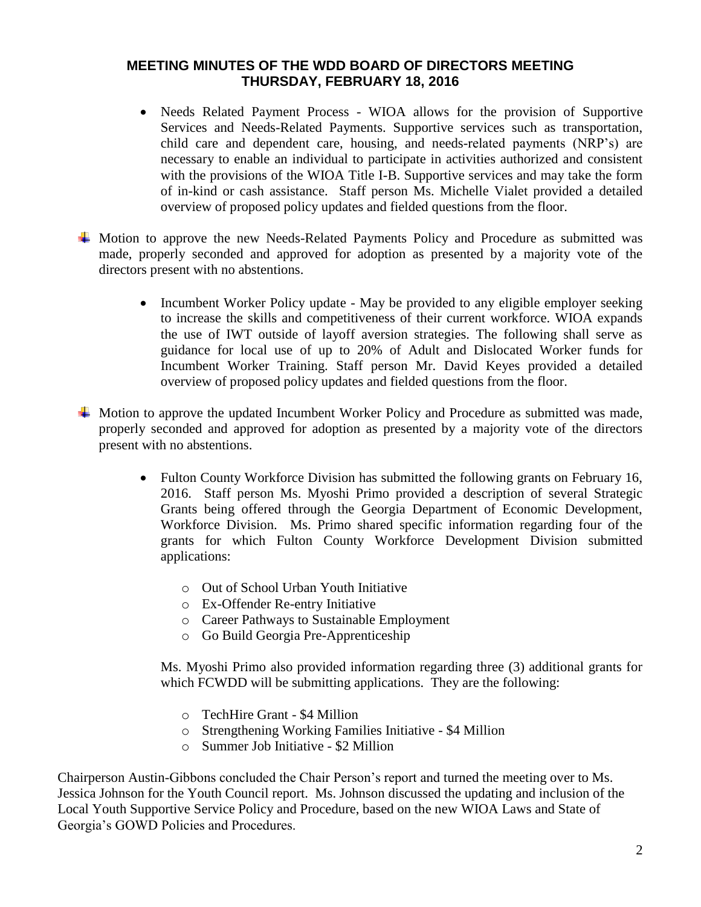- Needs Related Payment Process WIOA allows for the provision of Supportive Services and Needs-Related Payments. Supportive services such as transportation, child care and dependent care, housing, and needs-related payments (NRP's) are necessary to enable an individual to participate in activities authorized and consistent with the provisions of the WIOA Title I-B. Supportive services and may take the form of in-kind or cash assistance. Staff person Ms. Michelle Vialet provided a detailed overview of proposed policy updates and fielded questions from the floor.
- Motion to approve the new Needs-Related Payments Policy and Procedure as submitted was made, properly seconded and approved for adoption as presented by a majority vote of the directors present with no abstentions.
	- Incumbent Worker Policy update May be provided to any eligible employer seeking to increase the skills and competitiveness of their current workforce. WIOA expands the use of IWT outside of layoff aversion strategies. The following shall serve as guidance for local use of up to 20% of Adult and Dislocated Worker funds for Incumbent Worker Training. Staff person Mr. David Keyes provided a detailed overview of proposed policy updates and fielded questions from the floor.
- $\overline{\text{+}}$  Motion to approve the updated Incumbent Worker Policy and Procedure as submitted was made, properly seconded and approved for adoption as presented by a majority vote of the directors present with no abstentions.
	- Fulton County Workforce Division has submitted the following grants on February 16, 2016. Staff person Ms. Myoshi Primo provided a description of several Strategic Grants being offered through the Georgia Department of Economic Development, Workforce Division. Ms. Primo shared specific information regarding four of the grants for which Fulton County Workforce Development Division submitted applications:
		- o Out of School Urban Youth Initiative
		- o Ex-Offender Re-entry Initiative
		- o Career Pathways to Sustainable Employment
		- o Go Build Georgia Pre-Apprenticeship

Ms. Myoshi Primo also provided information regarding three (3) additional grants for which FCWDD will be submitting applications. They are the following:

- o TechHire Grant \$4 Million
- o Strengthening Working Families Initiative \$4 Million
- o Summer Job Initiative \$2 Million

Chairperson Austin-Gibbons concluded the Chair Person's report and turned the meeting over to Ms. Jessica Johnson for the Youth Council report. Ms. Johnson discussed the updating and inclusion of the Local Youth Supportive Service Policy and Procedure, based on the new WIOA Laws and State of Georgia's GOWD Policies and Procedures.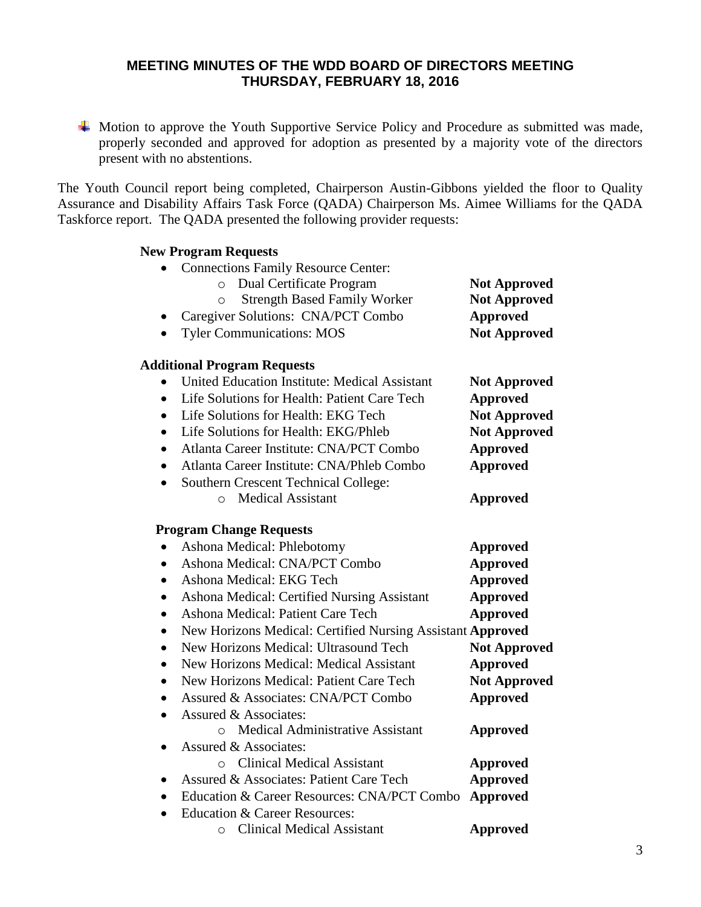Motion to approve the Youth Supportive Service Policy and Procedure as submitted was made, properly seconded and approved for adoption as presented by a majority vote of the directors present with no abstentions.

The Youth Council report being completed, Chairperson Austin-Gibbons yielded the floor to Quality Assurance and Disability Affairs Task Force (QADA) Chairperson Ms. Aimee Williams for the QADA Taskforce report. The QADA presented the following provider requests:

#### **New Program Requests**

• Connections Family Resource Center:

| Dual Certificate Program<br>$\circ$<br><b>Strength Based Family Worker</b><br>O | <b>Not Approved</b><br><b>Not Approved</b> |
|---------------------------------------------------------------------------------|--------------------------------------------|
| Caregiver Solutions: CNA/PCT Combo                                              | <b>Approved</b>                            |
| <b>Tyler Communications: MOS</b>                                                | <b>Not Approved</b>                        |
| <b>Additional Program Requests</b>                                              |                                            |
| <b>United Education Institute: Medical Assistant</b>                            | <b>Not Approved</b>                        |
| Life Solutions for Health: Patient Care Tech<br>$\bullet$                       | <b>Approved</b>                            |
| Life Solutions for Health: EKG Tech<br>$\bullet$                                | <b>Not Approved</b>                        |
| Life Solutions for Health: EKG/Phleb<br>$\bullet$                               | <b>Not Approved</b>                        |
| Atlanta Career Institute: CNA/PCT Combo<br>$\bullet$                            | <b>Approved</b>                            |
| Atlanta Career Institute: CNA/Phleb Combo<br>٠                                  | <b>Approved</b>                            |
| Southern Crescent Technical College:<br>$\bullet$                               |                                            |
| O Medical Assistant                                                             | <b>Approved</b>                            |
| <b>Program Change Requests</b>                                                  |                                            |
| Ashona Medical: Phlebotomy                                                      | <b>Approved</b>                            |
| Ashona Medical: CNA/PCT Combo<br>$\bullet$                                      | <b>Approved</b>                            |
| Ashona Medical: EKG Tech<br>$\bullet$                                           | <b>Approved</b>                            |
| Ashona Medical: Certified Nursing Assistant<br>$\bullet$                        | <b>Approved</b>                            |
| Ashona Medical: Patient Care Tech<br>$\bullet$                                  | <b>Approved</b>                            |
| New Horizons Medical: Certified Nursing Assistant Approved<br>$\bullet$         |                                            |
| New Horizons Medical: Ultrasound Tech<br>$\bullet$                              | <b>Not Approved</b>                        |
| New Horizons Medical: Medical Assistant<br>$\bullet$                            | <b>Approved</b>                            |
| New Horizons Medical: Patient Care Tech<br>$\bullet$                            | <b>Not Approved</b>                        |
| Assured & Associates: CNA/PCT Combo<br>٠                                        | <b>Approved</b>                            |
| Assured & Associates:<br>$\bullet$                                              |                                            |
| o Medical Administrative Assistant                                              | <b>Approved</b>                            |
| Assured & Associates:<br>$\bullet$                                              |                                            |
| O Clinical Medical Assistant                                                    | <b>Approved</b>                            |
| Assured & Associates: Patient Care Tech<br>$\bullet$                            | <b>Approved</b>                            |
| Education & Career Resources: CNA/PCT Combo<br>$\bullet$                        | <b>Approved</b>                            |
| <b>Education &amp; Career Resources:</b><br>$\bullet$                           |                                            |
| <b>Clinical Medical Assistant</b><br>O                                          | <b>Approved</b>                            |